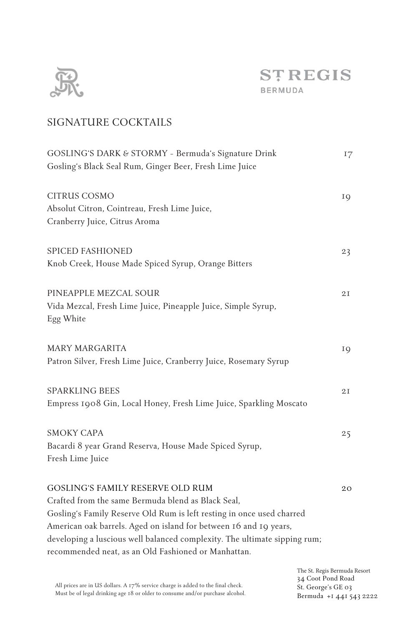

# SIGNATURE COCKTAILS

| GOSLING'S DARK & STORMY - Bermuda's Signature Drink<br>Gosling's Black Seal Rum, Ginger Beer, Fresh Lime Juice                                                                                                                                                                                                                                                                  | 17                    |
|---------------------------------------------------------------------------------------------------------------------------------------------------------------------------------------------------------------------------------------------------------------------------------------------------------------------------------------------------------------------------------|-----------------------|
| <b>CITRUS COSMO</b><br>Absolut Citron, Cointreau, Fresh Lime Juice,<br>Cranberry Juice, Citrus Aroma                                                                                                                                                                                                                                                                            | IQ                    |
| <b>SPICED FASHIONED</b><br>Knob Creek, House Made Spiced Syrup, Orange Bitters                                                                                                                                                                                                                                                                                                  | 23                    |
| PINEAPPLE MEZCAL SOUR<br>Vida Mezcal, Fresh Lime Juice, Pineapple Juice, Simple Syrup,<br>Egg White                                                                                                                                                                                                                                                                             | 2I                    |
| <b>MARY MARGARITA</b><br>Patron Silver, Fresh Lime Juice, Cranberry Juice, Rosemary Syrup                                                                                                                                                                                                                                                                                       | IQ                    |
| <b>SPARKLING BEES</b><br>Empress 1908 Gin, Local Honey, Fresh Lime Juice, Sparkling Moscato                                                                                                                                                                                                                                                                                     | 2I                    |
| <b>SMOKY CAPA</b><br>Bacardi 8 year Grand Reserva, House Made Spiced Syrup,<br>Fresh Lime Juice                                                                                                                                                                                                                                                                                 | 25                    |
| <b>GOSLING'S FAMILY RESERVE OLD RUM</b><br>Crafted from the same Bermuda blend as Black Seal,<br>Gosling's Family Reserve Old Rum is left resting in once used charred<br>American oak barrels. Aged on island for between 16 and 19 years,<br>developing a luscious well balanced complexity. The ultimate sipping rum;<br>recommended neat, as an Old Fashioned or Manhattan. | 20 <sub>o</sub>       |
|                                                                                                                                                                                                                                                                                                                                                                                 | The St. Regis Bermuda |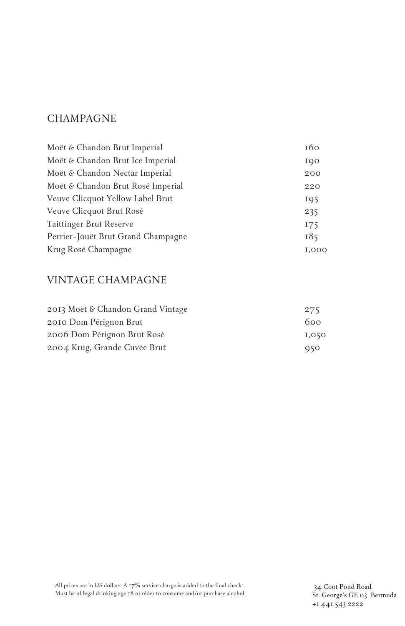## **CHAMPAGNE**

| Moët & Chandon Brut Imperial       | 160          |
|------------------------------------|--------------|
| Moët & Chandon Brut Ice Imperial   | IOO          |
| Moët & Chandon Nectar Imperial     | 200          |
| Moët & Chandon Brut Rosé Imperial  | 220          |
| Veuve Clicquot Yellow Label Brut   | IQ5          |
| Veuve Clicquot Brut Rosé           | 235          |
| Taittinger Brut Reserve            | I75          |
| Perrier-Jouët Brut Grand Champagne | 185          |
| Krug Rosé Champagne                | <b>I.000</b> |

# VINTAGE CHAMPAGNE

| 2013 Moët & Chandon Grand Vintage | 275   |
|-----------------------------------|-------|
| 2010 Dom Pérignon Brut            | 600   |
| 2006 Dom Pérignon Brut Rosé       | 1,050 |
| 2004 Krug, Grande Cuvée Brut      | 950   |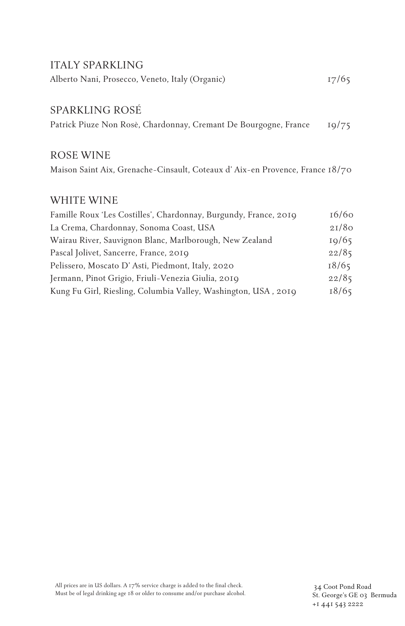#### ITALY SPARKLING

| Alberto Nani, Prosecco, Veneto, Italy (Organic) | 17/65 |
|-------------------------------------------------|-------|
|-------------------------------------------------|-------|

### SPARKLING ROSÉ

Patrick Piuze Non Rosè, Chardonnay, Cremant De Bourgogne, France 19/75

#### ROSE WINE

Maison Saint Aix, Grenache-Cinsault, Coteaux d' Aix-en Provence, France 18/70

#### WHITE WINE

| Famille Roux 'Les Costilles', Chardonnay, Burgundy, France, 2019 | 16/60 |
|------------------------------------------------------------------|-------|
| La Crema, Chardonnay, Sonoma Coast, USA                          | 21/80 |
| Wairau River, Sauvignon Blanc, Marlborough, New Zealand          | 10/65 |
| Pascal Jolivet, Sancerre, France, 2019                           | 22/85 |
| Pelissero, Moscato D'Asti, Piedmont, Italy, 2020                 | 18/65 |
| Jermann, Pinot Grigio, Friuli-Venezia Giulia, 2019               | 22/85 |
| Kung Fu Girl, Riesling, Columbia Valley, Washington, USA, 2019   | 18/65 |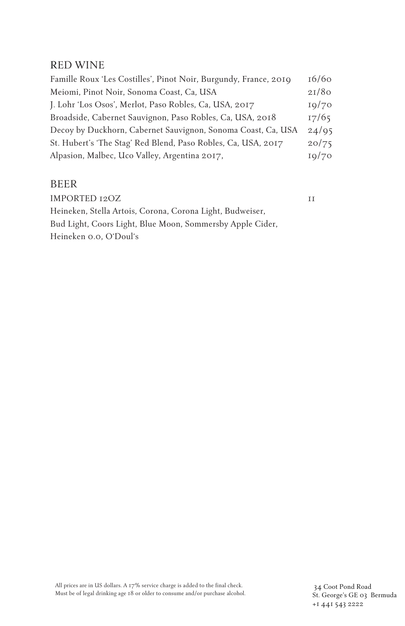### RED WINE

| Famille Roux 'Les Costilles', Pinot Noir, Burgundy, France, 2019 | 16/60 |
|------------------------------------------------------------------|-------|
| Meiomi, Pinot Noir, Sonoma Coast, Ca, USA                        | 21/80 |
| J. Lohr 'Los Osos', Merlot, Paso Robles, Ca, USA, 2017           | IQ/7Q |
| Broadside, Cabernet Sauvignon, Paso Robles, Ca, USA, 2018        | 17/65 |
| Decoy by Duckhorn, Cabernet Sauvignon, Sonoma Coast, Ca, USA     | 24/95 |
| St. Hubert's 'The Stag' Red Blend, Paso Robles, Ca, USA, 2017    | 20/75 |
| Alpasion, Malbec, Uco Valley, Argentina 2017,                    | 10/70 |

## BEER

IMPORTED 12OZ 11 Heineken, Stella Artois, Corona, Corona Light, Budweiser, Bud Light, Coors Light, Blue Moon, Sommersby Apple Cider, Heineken 0.0, O'Doul's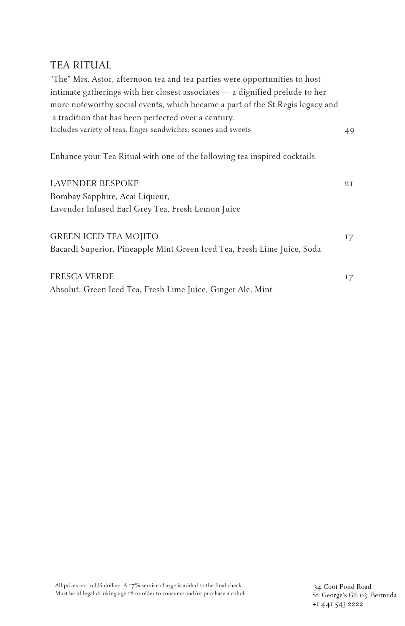## TEA RITUAL

| "The" Mrs. Astor, afternoon tea and tea parties were opportunities to host<br>intimate gatherings with her closest associates - a dignified prelude to her<br>more noteworthy social events, which became a part of the St. Regis legacy and |    |
|----------------------------------------------------------------------------------------------------------------------------------------------------------------------------------------------------------------------------------------------|----|
| a tradition that has been perfected over a century.                                                                                                                                                                                          |    |
| Includes variety of teas, finger sandwiches, scones and sweets                                                                                                                                                                               | 49 |
| Enhance your Tea Ritual with one of the following tea inspired cocktails                                                                                                                                                                     |    |
| LAVENDER BESPOKE                                                                                                                                                                                                                             | 2I |
| Bombay Sapphire, Acai Liqueur,                                                                                                                                                                                                               |    |
| Lavender Infused Earl Grey Tea, Fresh Lemon Juice                                                                                                                                                                                            |    |
| <b>GREEN ICED TEA MOJITO</b>                                                                                                                                                                                                                 | 17 |
| Bacardi Superior, Pineapple Mint Green Iced Tea, Fresh Lime Juice, Soda                                                                                                                                                                      |    |
| <b>FRESCA VERDE</b>                                                                                                                                                                                                                          | 17 |
| Absolut, Green Iced Tea, Fresh Lime Juice, Ginger Ale, Mint                                                                                                                                                                                  |    |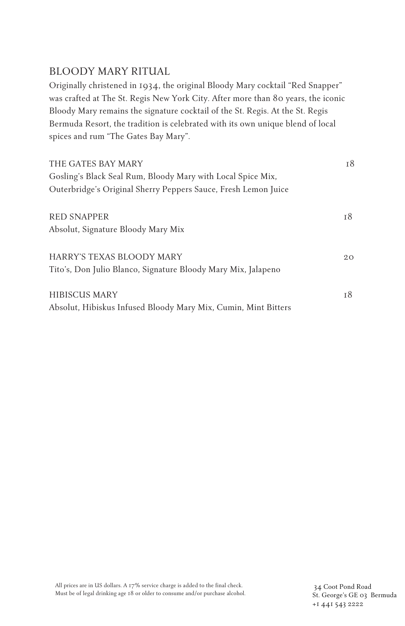### BLOODY MARY RITUAL

Originally christened in 1934, the original Bloody Mary cocktail "Red Snapper" was crafted at The St. Regis New York City. After more than 80 years, the iconic Bloody Mary remains the signature cocktail of the St. Regis. At the St. Regis Bermuda Resort, the tradition is celebrated with its own unique blend of local spices and rum "The Gates Bay Mary".

| THE GATES BAY MARY                                             | 18 |
|----------------------------------------------------------------|----|
| Gosling's Black Seal Rum, Bloody Mary with Local Spice Mix,    |    |
| Outerbridge's Original Sherry Peppers Sauce, Fresh Lemon Juice |    |
| <b>RED SNAPPER</b>                                             | т8 |
| Absolut, Signature Bloody Mary Mix                             |    |
| HARRY'S TEXAS BLOODY MARY                                      | 20 |
| Tito's, Don Julio Blanco, Signature Bloody Mary Mix, Jalapeno  |    |
| HIBISCUS MARY                                                  | т8 |
| Absolut, Hibiskus Infused Bloody Mary Mix, Cumin, Mint Bitters |    |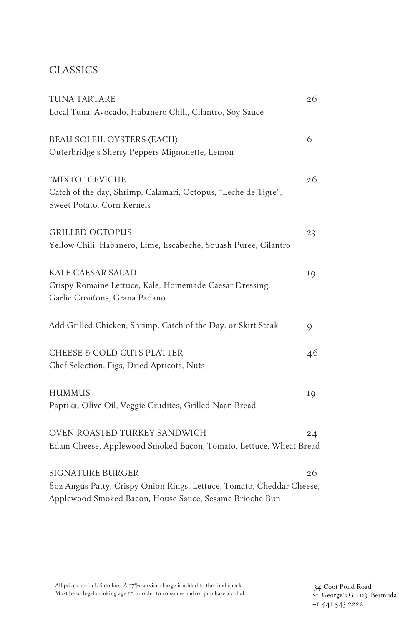# CLASSICS

| <b>TUNA TARTARE</b>                                                   | 26            |
|-----------------------------------------------------------------------|---------------|
| Local Tuna, Avocado, Habanero Chili, Cilantro, Soy Sauce              |               |
| BEAU SOLEIL OYSTERS (EACH)                                            | 6             |
| Outerbridge's Sherry Peppers Mignonette, Lemon                        |               |
| "MIXTO" CEVICHE                                                       | 26            |
| Catch of the day, Shrimp, Calamari, Octopus, "Leche de Tigre",        |               |
| Sweet Potato, Corn Kernels                                            |               |
| <b>GRILLED OCTOPUS</b>                                                | 23            |
| Yellow Chili, Habanero, Lime, Escabeche, Squash Puree, Cilantro       |               |
| KALE CAESAR SALAD                                                     | IQ            |
| Crispy Romaine Lettuce, Kale, Homemade Caesar Dressing,               |               |
| Garlic Croutons, Grana Padano                                         |               |
| Add Grilled Chicken, Shrimp, Catch of the Day, or Skirt Steak         | $\mathcal{Q}$ |
| CHEESE & COLD CUTS PLATTER                                            | 46            |
| Chef Selection, Figs, Dried Apricots, Nuts                            |               |
| <b>HUMMUS</b>                                                         | IQ            |
| Paprika, Olive Oil, Veggie Crudités, Grilled Naan Bread               |               |
| OVEN ROASTED TURKEY SANDWICH                                          | 24            |
| Edam Cheese, Applewood Smoked Bacon, Tomato, Lettuce, Wheat Bread     |               |
| <b>SIGNATURE BURGER</b>                                               | 26            |
| 8oz Angus Patty, Crispy Onion Rings, Lettuce, Tomato, Cheddar Cheese, |               |
| Applewood Smoked Bacon, House Sauce, Sesame Brioche Bun               |               |